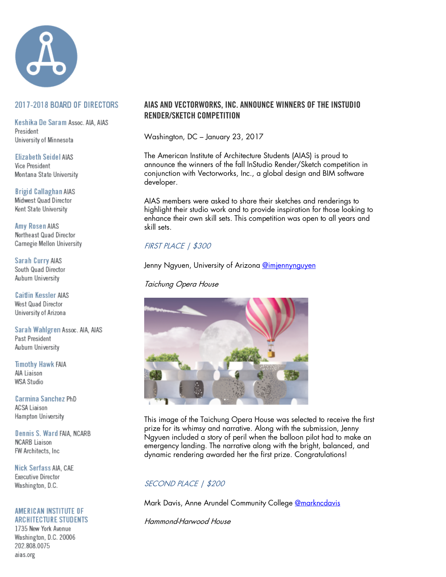

## 2017-2018 BOARD OF DIRECTORS

Keshika De Saram Assoc. AIA, AIAS President University of Minnesota

**Elizabeth Seidel AIAS Vice President** Montana State University

**Brigid Callaghan AIAS** Midwest Quad Director Kent State University

**Amy Rosen AIAS** Northeast Quad Director Carnegie Mellon University

Sarah Curry AIAS South Quad Director Auburn University

**Caitlin Kessler AIAS** West Quad Director University of Arizona

Sarah Wahlgren Assoc. AIA, AIAS Past President Auburn University

**Timothy Hawk FAIA** AIA Liaison WSA Studio

Carmina Sanchez PhD **ACSA Liaison** Hampton University

Dennis S. Ward FAIA, NCARB **NCARB** Liaison FW Architects, Inc.

Nick Serfass AIA, CAE Executive Director Washington, D.C.

### AMERICAN INSTITUTE OF **ARCHITECTURE STUDENTS**

1735 New York Avenue Washington, D.C. 20006 202.808.0075 aias.org

## AIAS AND VECTORWORKS, INC. ANNOUNCE WINNERS OF THE INSTUDIO RENDER/SKETCH COMPETITION

Washington, DC – January 23, 2017

The American Institute of Architecture Students (AIAS) is proud to announce the winners of the fall InStudio Render/Sketch competition in conjunction with Vectorworks, Inc., a global design and BIM software developer.

AIAS members were asked to share their sketches and renderings to highlight their studio work and to provide inspiration for those looking to enhance their own skill sets. This competition was open to all years and skill sets.

# FIRST PLACE | \$300

Jenny Ngyuen, University of Arizona @imjennynguyen

Taichung Opera House



This image of the Taichung Opera House was selected to receive the first prize for its whimsy and narrative. Along with the submission, Jenny Ngyuen included a story of peril when the balloon pilot had to make an emergency landing. The narrative along with the bright, balanced, and dynamic rendering awarded her the first prize. Congratulations!

# SECOND PLACE | \$200

Mark Davis, Anne Arundel Community College **@markncdavis** 

Hammond-Harwood House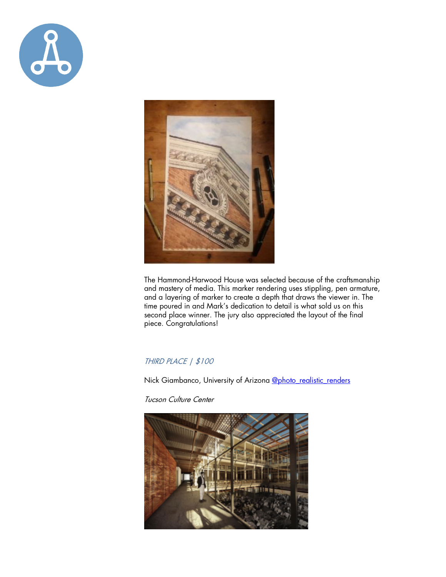



The Hammond-Harwood House was selected because of the craftsmanship and mastery of media. This marker rendering uses stippling, pen armature, and a layering of marker to create a depth that draws the viewer in. The time poured in and Mark's dedication to detail is what sold us on this second place winner. The jury also appreciated the layout of the final piece. Congratulations!

## THIRD PLACE | \$100

Nick Giambanco, University of Arizona @photo\_realistic\_renders

Tucson Culture Center